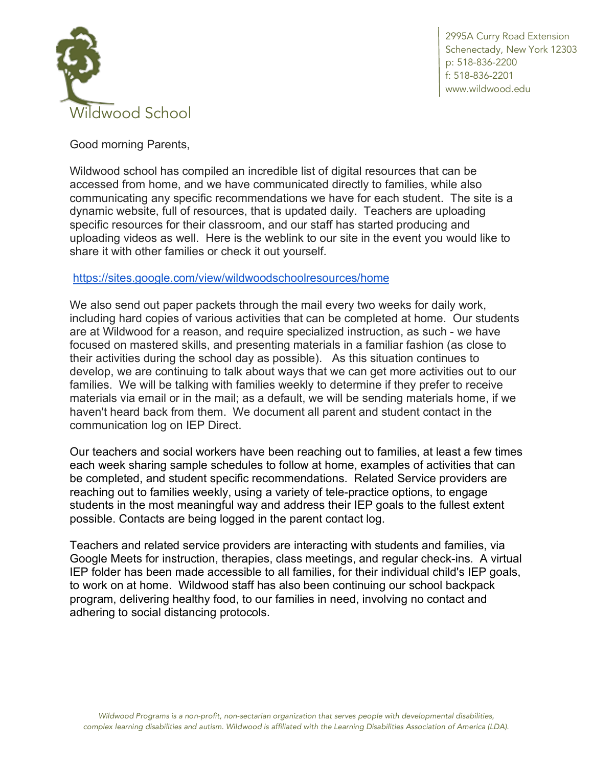

2995A Curry Road Extension Schenectady, New York 12303 p: 518-836-2200 f: 518-836-2201 www.wildwood.edu

Good morning Parents,

Wildwood school has compiled an incredible list of digital resources that can be accessed from home, and we have communicated directly to families, while also communicating any specific recommendations we have for each student. The site is a dynamic website, full of resources, that is updated daily. Teachers are uploading specific resources for their classroom, and our staff has started producing and uploading videos as well. Here is the weblink to our site in the event you would like to share it with other families or check it out yourself.

## https://sites.google.com/view/wildwoodschoolresources/home

We also send out paper packets through the mail every two weeks for daily work, including hard copies of various activities that can be completed at home. Our students are at Wildwood for a reason, and require specialized instruction, as such - we have focused on mastered skills, and presenting materials in a familiar fashion (as close to their activities during the school day as possible). As this situation continues to develop, we are continuing to talk about ways that we can get more activities out to our families. We will be talking with families weekly to determine if they prefer to receive materials via email or in the mail; as a default, we will be sending materials home, if we haven't heard back from them. We document all parent and student contact in the communication log on IEP Direct.

Our teachers and social workers have been reaching out to families, at least a few times each week sharing sample schedules to follow at home, examples of activities that can be completed, and student specific recommendations. Related Service providers are reaching out to families weekly, using a variety of tele-practice options, to engage students in the most meaningful way and address their IEP goals to the fullest extent possible. Contacts are being logged in the parent contact log.

Teachers and related service providers are interacting with students and families, via Google Meets for instruction, therapies, class meetings, and regular check-ins. A virtual IEP folder has been made accessible to all families, for their individual child's IEP goals, to work on at home. Wildwood staff has also been continuing our school backpack program, delivering healthy food, to our families in need, involving no contact and adhering to social distancing protocols.